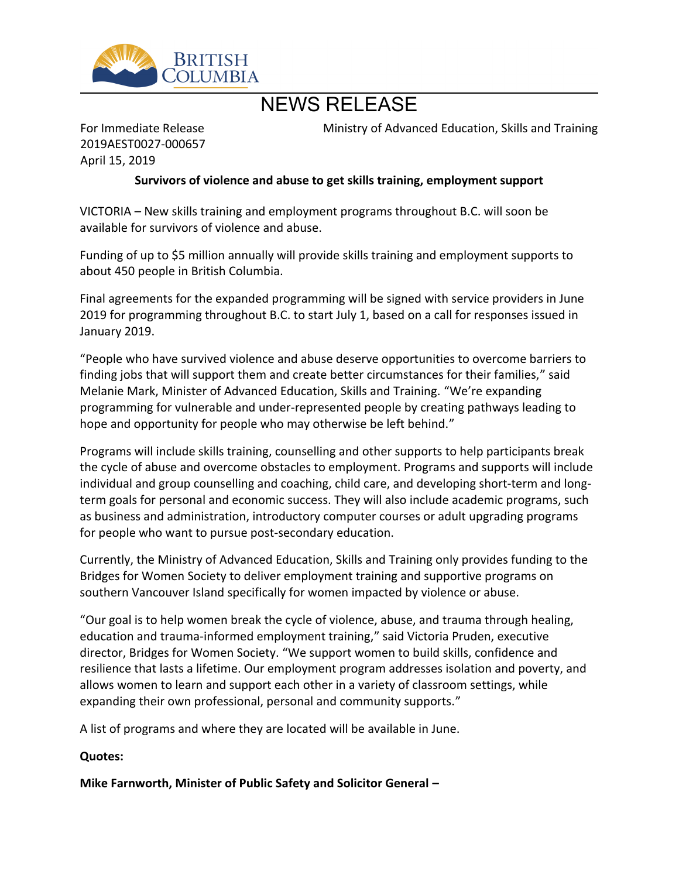

# NEWS RELEASE

For Immediate Release 2019AEST0027-000657 April 15, 2019

Ministry of Advanced Education, Skills and Training

#### **Survivors of violence and abuse to get skills training, employment support**

VICTORIA – New skills training and employment programs throughout B.C. will soon be available for survivors of violence and abuse.

Funding of up to \$5 million annually will provide skills training and employment supports to about 450 people in British Columbia.

Final agreements for the expanded programming will be signed with service providers in June 2019 for programming throughout B.C. to start July 1, based on a call for responses issued in January 2019.

͞People who have survived violence and abuse deserve opportunities to overcome barriers to finding jobs that will support them and create better circumstances for their families," said Melanie Mark, Minister of Advanced Education, Skills and Training. "We're expanding programming for vulnerable and under-represented people by creating pathways leading to hope and opportunity for people who may otherwise be left behind.<sup>"</sup>

Programs will include skills training, counselling and other supports to help participants break the cycle of abuse and overcome obstacles to employment. Programs and supports will include individual and group counselling and coaching, child care, and developing short-term and longterm goals for personal and economic success. They will also include academic programs, such as business and administration, introductory computer courses or adult upgrading programs for people who want to pursue post-secondary education.

Currently, the Ministry of Advanced Education, Skills and Training only provides funding to the Bridges for Women Society to deliver employment training and supportive programs on southern Vancouver Island specifically for women impacted by violence or abuse.

͞Our goal is to help women break the cycle of violence, abuse, and trauma through healing, education and trauma-informed employment training," said Victoria Pruden, executive director, Bridges for Women Society. "We support women to build skills, confidence and resilience that lasts a lifetime. Our employment program addresses isolation and poverty, and allows women to learn and support each other in a variety of classroom settings, while expanding their own professional, personal and community supports.<sup>"</sup>

A list of programs and where they are located will be available in June.

#### **Quotes:**

**Mike Farnworth, Minister of Public Safety and Solicitor General ʹ**